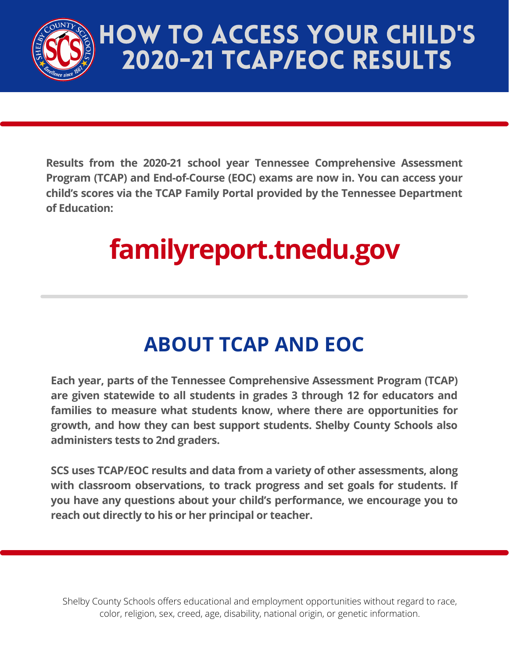

## HOW TO ACCESS YOUR CHILD'S 2020-21 TCAP/EOC RESULTS

**Results from the 2020-21 school year Tennessee Comprehensive Assessment Program (TCAP) and End-of-Course (EOC) exams are now in. You can access your child's scores via the TCAP Family Portal provided by the Tennessee Department of Education:**

# **[familyreport.tnedu.gov](http://familyreport.tnedu.gov/)**

### **ABOUT TCAP AND EOC**

**Each year, parts of the Tennessee Comprehensive Assessment Program (TCAP) are given statewide to all students in grades 3 through 12 for educators and families to measure what students know, where there are opportunities for growth, and how they can best support students. Shelby County Schools also administers tests to 2nd graders.**

**SCS uses TCAP/EOC results and data from a variety of other assessments, along with classroom observations, to track progress and set goals for students. If you have any questions about your child's performance, we encourage you to reach out directly to his or her principal or teacher.**

Shelby County Schools offers educational and employment opportunities without regard to race, color, religion, sex, creed, age, disability, national origin, or genetic information.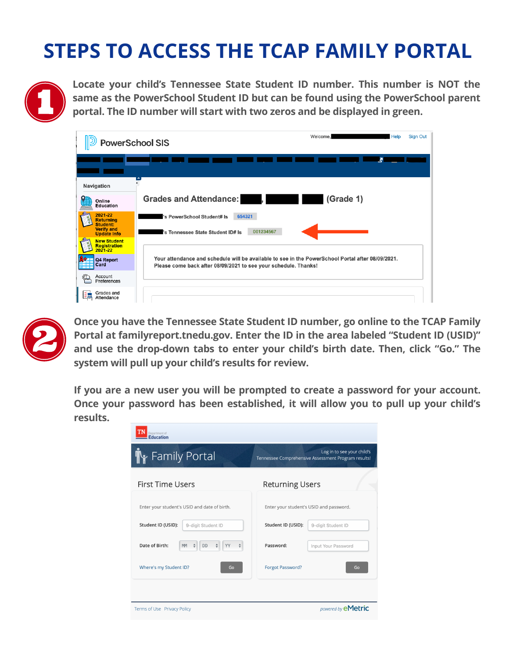### **STEPS TO ACCESS THE TCAP FAMILY PORTAL**



**Locate your child's Tennessee State Student ID number. This number is NOT the same as the PowerSchool Student ID but can be found using the PowerSchool parent portal. The ID number will start with two zeros and be displayed in green.**

| <b>PowerSchool SIS</b>                                                                    | Welcome.<br>Help<br><b>Sign Out</b>                                                                                                                                  |
|-------------------------------------------------------------------------------------------|----------------------------------------------------------------------------------------------------------------------------------------------------------------------|
|                                                                                           | W                                                                                                                                                                    |
| Navigation                                                                                |                                                                                                                                                                      |
| Online<br><b>Education</b>                                                                | <b>Grades and Attendance:</b><br>(Grade 1)<br>. .<br>ш                                                                                                               |
| 2021-22<br><b>Bag</b><br>Returning<br>Student:<br><b>Verify and</b><br><b>Update Info</b> | 654321<br>'s PowerSchool Student# Is<br>001234567<br>'s Tennessee State Student ID# Is                                                                               |
| <b>New Student</b><br>Registration<br>$2021 - 22$                                         |                                                                                                                                                                      |
| Q4 Report<br>Card<br><b>Litre</b>                                                         | Your attendance and schedule will be available to see in the PowerSchool Portal after 08/09/2021.<br>Please come back after 08/09/2021 to see your schedule. Thanks! |
| Account<br>Preferences                                                                    |                                                                                                                                                                      |
| Grades and<br>Attendance                                                                  |                                                                                                                                                                      |



**Once you have the Tennessee State Student ID number, go online to the TCAP Family Portal at [familyreport.tnedu.gov.](http://familyreport.tnedu.gov/) Enter the ID in the area labeled "Student ID (USID)" and use the drop-down tabs to enter your child's birth date. Then, click "Go." The system will pull up your child's results for review.**

**If you are a new user you will be prompted to create a password for your account. Once your password has been established, it will allow you to pull up your child's results.**